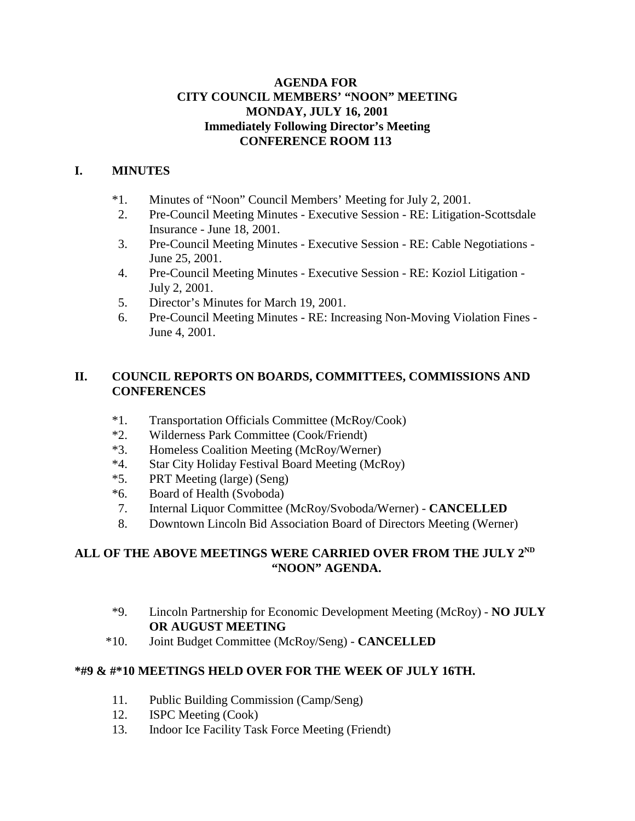#### **AGENDA FOR CITY COUNCIL MEMBERS' "NOON" MEETING MONDAY, JULY 16, 2001 Immediately Following Director's Meeting CONFERENCE ROOM 113**

## **I. MINUTES**

- \*1. Minutes of "Noon" Council Members' Meeting for July 2, 2001.
- 2. Pre-Council Meeting Minutes Executive Session RE: Litigation-Scottsdale Insurance - June 18, 2001.
- 3. Pre-Council Meeting Minutes Executive Session RE: Cable Negotiations June 25, 2001.
- 4. Pre-Council Meeting Minutes Executive Session RE: Koziol Litigation July 2, 2001.
- 5. Director's Minutes for March 19, 2001.
- 6. Pre-Council Meeting Minutes RE: Increasing Non-Moving Violation Fines June 4, 2001.

#### **II. COUNCIL REPORTS ON BOARDS, COMMITTEES, COMMISSIONS AND CONFERENCES**

- \*1. Transportation Officials Committee (McRoy/Cook)
- \*2. Wilderness Park Committee (Cook/Friendt)
- \*3. Homeless Coalition Meeting (McRoy/Werner)
- \*4. Star City Holiday Festival Board Meeting (McRoy)
- \*5. PRT Meeting (large) (Seng)
- \*6. Board of Health (Svoboda)
- 7. Internal Liquor Committee (McRoy/Svoboda/Werner) **CANCELLED**
- 8. Downtown Lincoln Bid Association Board of Directors Meeting (Werner)

### **ALL OF THE ABOVE MEETINGS WERE CARRIED OVER FROM THE JULY 2ND "NOON" AGENDA.**

- \*9. Lincoln Partnership for Economic Development Meeting (McRoy) **NO JULY OR AUGUST MEETING**
- \*10. Joint Budget Committee (McRoy/Seng) **CANCELLED**

# **\*#9 & #\*10 MEETINGS HELD OVER FOR THE WEEK OF JULY 16TH.**

- 11. Public Building Commission (Camp/Seng)
- 12. ISPC Meeting (Cook)
- 13. Indoor Ice Facility Task Force Meeting (Friendt)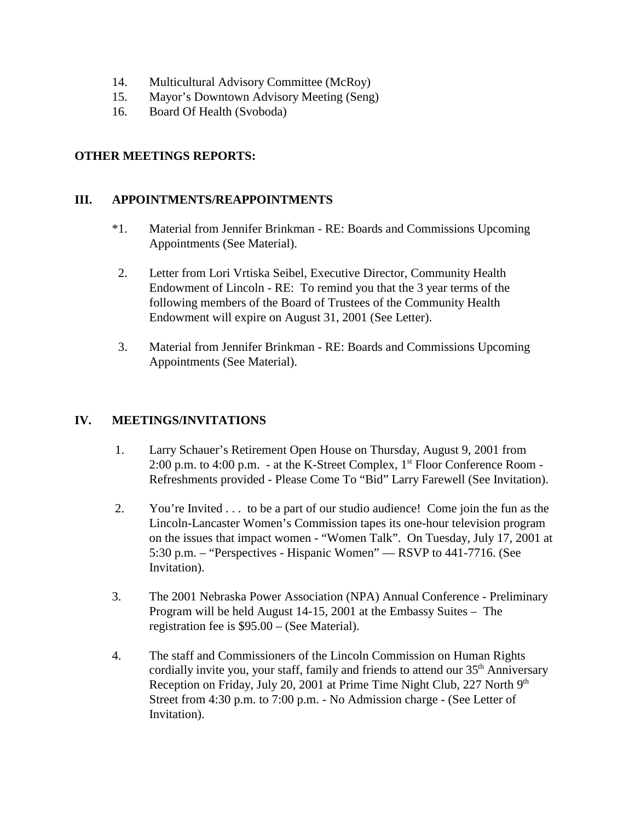- 14. Multicultural Advisory Committee (McRoy)
- 15. Mayor's Downtown Advisory Meeting (Seng)
- 16. Board Of Health (Svoboda)

#### **OTHER MEETINGS REPORTS:**

#### **III. APPOINTMENTS/REAPPOINTMENTS**

- \*1. Material from Jennifer Brinkman RE: Boards and Commissions Upcoming Appointments (See Material).
- 2. Letter from Lori Vrtiska Seibel, Executive Director, Community Health Endowment of Lincoln - RE: To remind you that the 3 year terms of the following members of the Board of Trustees of the Community Health Endowment will expire on August 31, 2001 (See Letter).
- 3. Material from Jennifer Brinkman RE: Boards and Commissions Upcoming Appointments (See Material).

#### **IV. MEETINGS/INVITATIONS**

- 1. Larry Schauer's Retirement Open House on Thursday, August 9, 2001 from 2:00 p.m. to 4:00 p.m. - at the K-Street Complex,  $1<sup>st</sup>$  Floor Conference Room -Refreshments provided - Please Come To "Bid" Larry Farewell (See Invitation).
- 2. You're Invited . . . to be a part of our studio audience! Come join the fun as the Lincoln-Lancaster Women's Commission tapes its one-hour television program on the issues that impact women - "Women Talk". On Tuesday, July 17, 2001 at 5:30 p.m. – "Perspectives - Hispanic Women" — RSVP to 441-7716. (See Invitation).
- 3. The 2001 Nebraska Power Association (NPA) Annual Conference Preliminary Program will be held August 14-15, 2001 at the Embassy Suites – The registration fee is \$95.00 – (See Material).
- 4. The staff and Commissioners of the Lincoln Commission on Human Rights cordially invite you, your staff, family and friends to attend our  $35<sup>th</sup>$  Anniversary Reception on Friday, July 20, 2001 at Prime Time Night Club, 227 North 9<sup>th</sup> Street from 4:30 p.m. to 7:00 p.m. - No Admission charge - (See Letter of Invitation).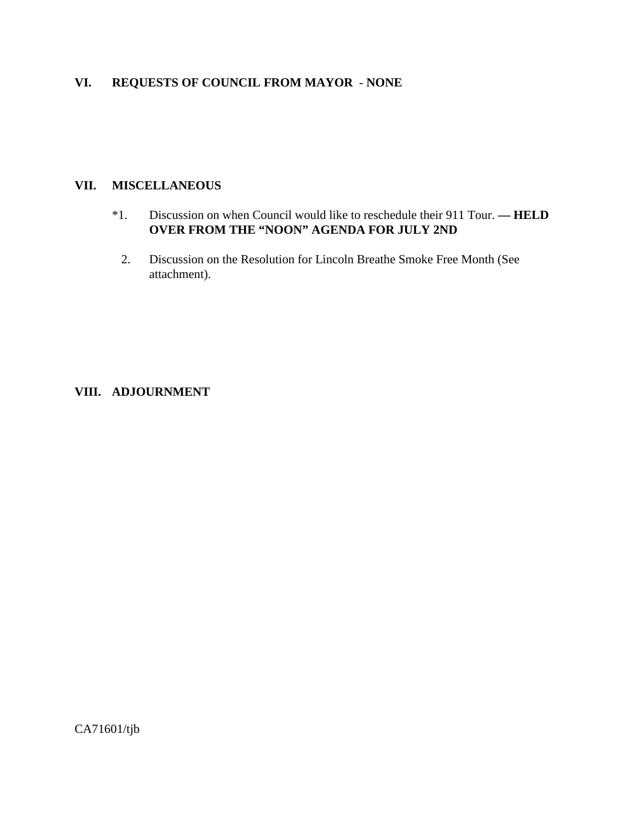# **VI. REQUESTS OF COUNCIL FROM MAYOR** - **NONE**

# **VII. MISCELLANEOUS**

- \*1. Discussion on when Council would like to reschedule their 911 Tour. **HELD OVER FROM THE "NOON" AGENDA FOR JULY 2ND** 
	- 2. Discussion on the Resolution for Lincoln Breathe Smoke Free Month (See attachment).

#### **VIII. ADJOURNMENT**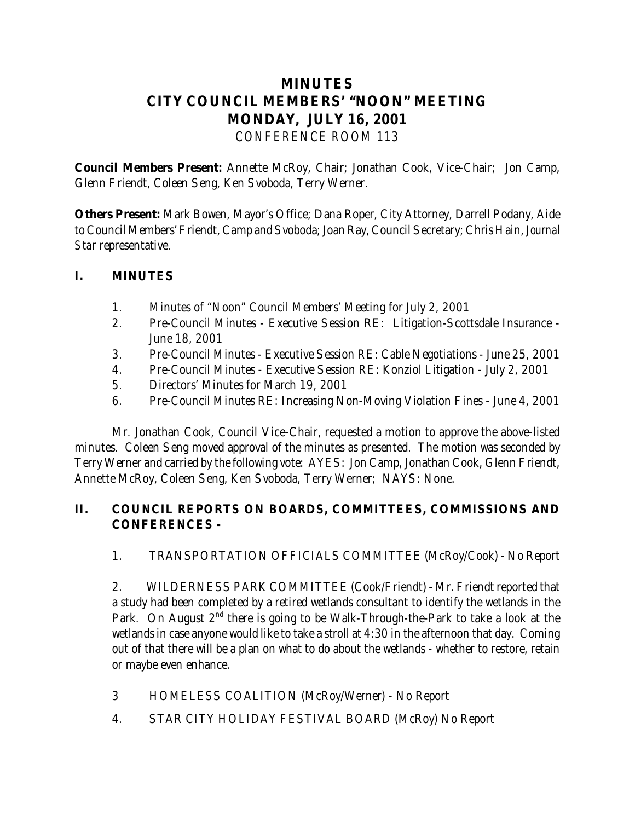# **MINUTES CITY COUNCIL MEMBERS' "NOON" MEETING MONDAY, JULY 16, 2001** *CONFERENCE ROOM 113*

**Council Members Present:** Annette McRoy, Chair; Jonathan Cook, Vice-Chair; Jon Camp, Glenn Friendt, Coleen Seng, Ken Svoboda, Terry Werner.

**Others Present:** Mark Bowen, Mayor's Office; Dana Roper, City Attorney, Darrell Podany, Aide to Council Members' Friendt, Camp and Svoboda; Joan Ray, Council Secretary; Chris Hain, *Journal Star* representative.

# **I. MINUTES**

- 1. Minutes of "Noon" Council Members' Meeting for July 2, 2001
- 2. Pre-Council Minutes Executive Session RE: Litigation-Scottsdale Insurance June 18, 2001
- 3. Pre-Council Minutes Executive Session RE: Cable Negotiations June 25, 2001
- 4. Pre-Council Minutes Executive Session RE: Konziol Litigation July 2, 2001
- 5. Directors' Minutes for March 19, 2001
- 6. Pre-Council Minutes RE: Increasing Non-Moving Violation Fines June 4, 2001

 Mr. Jonathan Cook, Council Vice-Chair, requested a motion to approve the above-listed minutes. Coleen Seng moved approval of the minutes as presented. The motion was seconded by Terry Werner and carried by the following vote: AYES: Jon Camp, Jonathan Cook, Glenn Friendt, Annette McRoy, Coleen Seng, Ken Svoboda, Terry Werner; NAYS: None.

# **II. COUNCIL REPORTS ON BOARDS, COMMITTEES, COMMISSIONS AND CONFERENCES -**

1. TRANSPORTATION OFFICIALS COMMITTEE (McRoy/Cook) - No Report

2. WILDERNESS PARK COMMITTEE (Cook/Friendt) - Mr. Friendt reported that a study had been completed by a retired wetlands consultant to identify the wetlands in the Park. On August  $2<sup>nd</sup>$  there is going to be Walk-Through-the-Park to take a look at the wetlands in case anyone would like to take a stroll at 4:30 in the afternoon that day. Coming out of that there will be a plan on what to do about the wetlands - whether to restore, retain or maybe even enhance.

- 3 HOMELESS COALITION (McRoy/Werner) No Report
- 4. STAR CITY HOLIDAY FESTIVAL BOARD (McRoy) No Report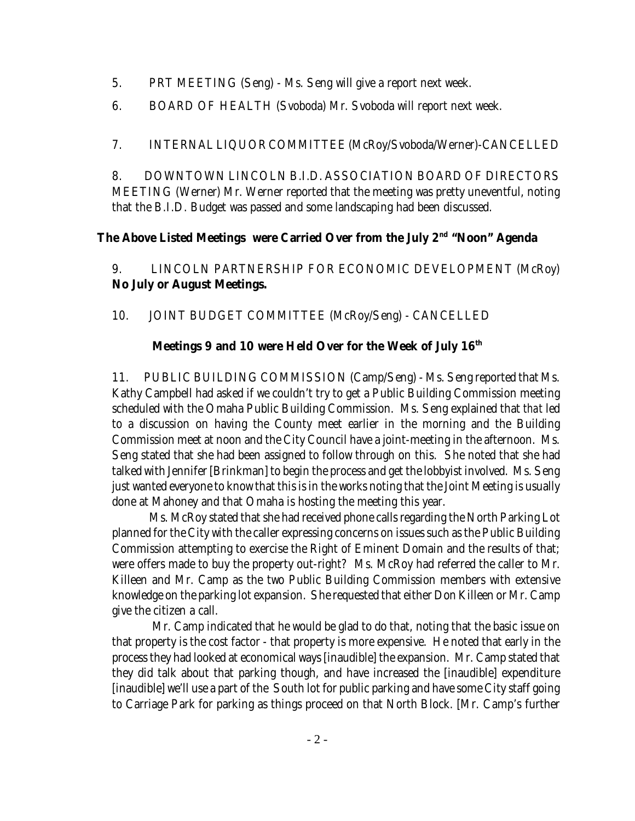- 5. PRT MEETING (Seng) Ms. Seng will give a report next week.
- 6. BOARD OF HEALTH (Svoboda) Mr. Svoboda will report next week.

7. INTERNAL LIQUOR COMMITTEE (McRoy/Svoboda/Werner)-CANCELLED

8. DOWNTOWN LINCOLN B.I.D. ASSOCIATION BOARD OF DIRECTORS MEETING (Werner) Mr. Werner reported that the meeting was pretty uneventful, noting that the B.I.D. Budget was passed and some landscaping had been discussed.

# **The Above Listed Meetings were Carried Over from the July 2nd "Noon" Agenda**

9. LINCOLN PARTNERSHIP FOR ECONOMIC DEVELOPMENT (McRoy) **No July or August Meetings.**

10. JOINT BUDGET COMMITTEE (McRoy/Seng) - CANCELLED

# **Meetings 9 and 10 were Held Over for the Week of July 16th**

11. PUBLIC BUILDING COMMISSION (Camp/Seng) - Ms. Seng reported that Ms. Kathy Campbell had asked if we couldn't try to get a Public Building Commission meeting scheduled with the Omaha Public Building Commission. Ms. Seng explained that *that* led to a discussion on having the County meet earlier in the morning and the Building Commission meet at noon and the City Council have a joint-meeting in the afternoon. Ms. Seng stated that she had been assigned to follow through on this. She noted that she had talked with Jennifer [Brinkman] to begin the process and get the lobbyist involved. Ms. Seng just wanted everyone to know that this is in the works noting that the Joint Meeting is usually done at Mahoney and that Omaha is hosting the meeting this year.

Ms. McRoy stated that she had received phone calls regarding the North Parking Lot planned for the City with the caller expressing concerns on issues such as the Public Building Commission attempting to exercise the Right of Eminent Domain and the results of that; were offers made to buy the property out-right? Ms. McRoy had referred the caller to Mr. Killeen and Mr. Camp as the two Public Building Commission members with extensive knowledge on the parking lot expansion. She requested that either Don Killeen or Mr. Camp give the citizen a call.

 Mr. Camp indicated that he would be glad to do that, noting that the basic issue on that property is the cost factor - that property is more expensive. He noted that early in the process they had looked at economical ways [inaudible] the expansion. Mr. Camp stated that they did talk about that parking though, and have increased the [inaudible] expenditure [inaudible] we'll use a part of the South lot for public parking and have some City staff going to Carriage Park for parking as things proceed on that North Block. [Mr. Camp's further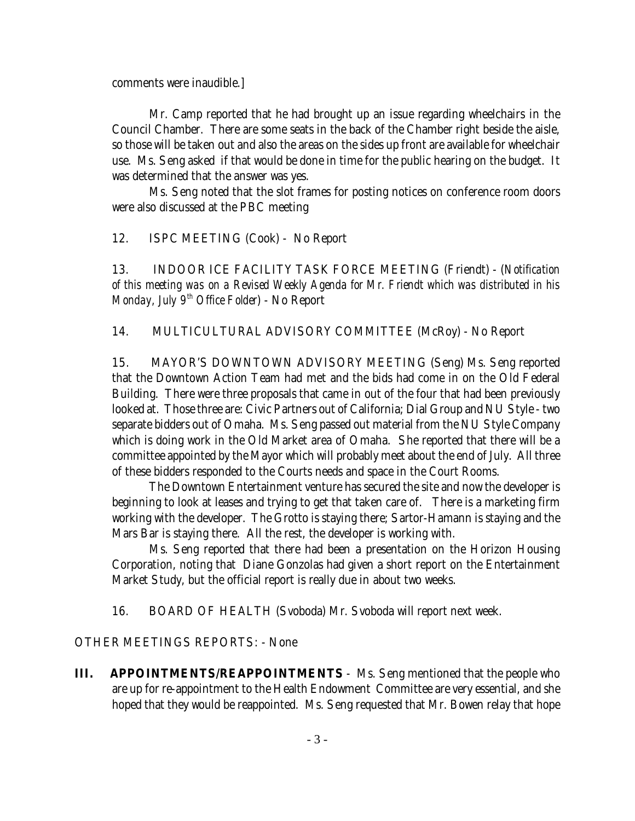comments were inaudible.]

Mr. Camp reported that he had brought up an issue regarding wheelchairs in the Council Chamber. There are some seats in the back of the Chamber right beside the aisle, so those will be taken out and also the areas on the sides up front are available for wheelchair use. Ms. Seng asked if that would be done in time for the public hearing on the budget. It was determined that the answer was yes.

Ms. Seng noted that the slot frames for posting notices on conference room doors were also discussed at the PBC meeting

12. ISPC MEETING (Cook) - No Report

13. INDOOR ICE FACILITY TASK FORCE MEETING (Friendt) - (*Notification of this meeting was on a Revised Weekly Agenda for Mr. Friendt which was distributed in his Monday, July 9<sup>th</sup> Office Folder*) - No Report

14. MULTICULTURAL ADVISORY COMMITTEE (McRoy) - No Report

15. MAYOR'S DOWNTOWN ADVISORY MEETING (Seng) Ms. Seng reported that the Downtown Action Team had met and the bids had come in on the Old Federal Building. There were three proposals that came in out of the four that had been previously looked at. Those three are: Civic Partners out of California; Dial Group and NU Style - two separate bidders out of Omaha. Ms. Seng passed out material from the NU Style Company which is doing work in the Old Market area of Omaha. She reported that there will be a committee appointed by the Mayor which will probably meet about the end of July. All three of these bidders responded to the Courts needs and space in the Court Rooms.

The Downtown Entertainment venture has secured the site and now the developer is beginning to look at leases and trying to get that taken care of. There is a marketing firm working with the developer. The Grotto is staying there; Sartor-Hamann is staying and the Mars Bar is staying there. All the rest, the developer is working with.

Ms. Seng reported that there had been a presentation on the Horizon Housing Corporation, noting that Diane Gonzolas had given a short report on the Entertainment Market Study, but the official report is really due in about two weeks.

16. BOARD OF HEALTH (Svoboda) Mr. Svoboda will report next week.

OTHER MEETINGS REPORTS: - None

**III.** APPOINTMENTS/REAPPOINTMENTS - Ms. Seng mentioned that the people who are up for re-appointment to the Health Endowment Committee are very essential, and she hoped that they would be reappointed. Ms. Seng requested that Mr. Bowen relay that hope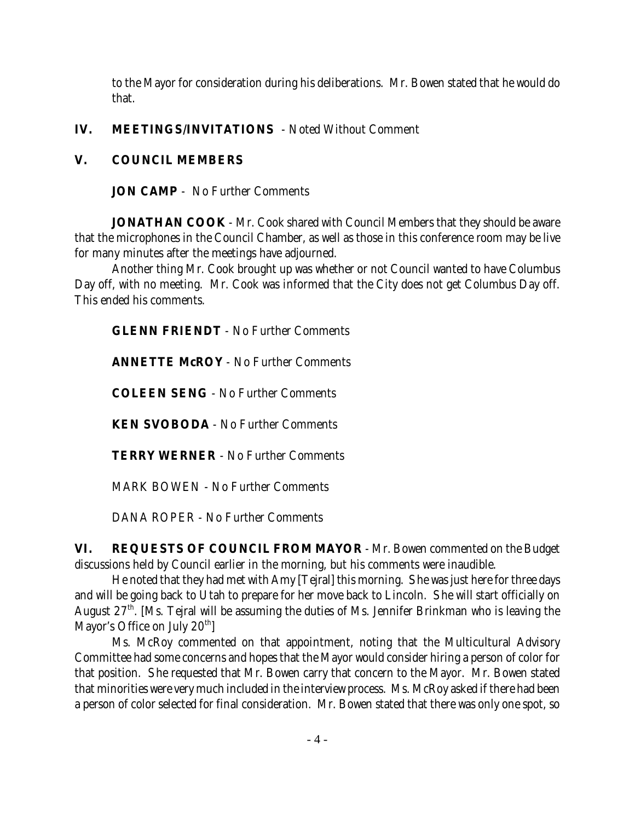to the Mayor for consideration during his deliberations. Mr. Bowen stated that he would do that.

# **IV. MEETINGS/INVITATIONS** - Noted Without Comment

## **V. COUNCIL MEMBERS**

**JON CAMP** - No Further Comments

**JONATHAN COOK** - Mr. Cook shared with Council Members that they should be aware that the microphones in the Council Chamber, as well as those in this conference room may be live for many minutes after the meetings have adjourned.

Another thing Mr. Cook brought up was whether or not Council wanted to have Columbus Day off, with no meeting. Mr. Cook was informed that the City does not get Columbus Day off. This ended his comments.

**GLENN FRIENDT** - No Further Comments

**ANNETTE McROY** - No Further Comments

**COLEEN SENG** - No Further Comments

**KEN SVOBODA** - No Further Comments

**TERRY WERNER** - No Further Comments

MARK BOWEN - No Further Comments

DANA ROPER - No Further Comments

**VI. REQUESTS OF COUNCIL FROM MAYOR** - Mr. Bowen commented on the Budget discussions held by Council earlier in the morning, but his comments were inaudible.

He noted that they had met with Amy [Tejral] this morning. She was just here for three days and will be going back to Utah to prepare for her move back to Lincoln. She will start officially on August 27<sup>th</sup>. [Ms. Tejral will be assuming the duties of Ms. Jennifer Brinkman who is leaving the Mayor's Office on July  $20<sup>th</sup>$ ]

Ms. McRoy commented on that appointment, noting that the Multicultural Advisory Committee had some concerns and hopes that the Mayor would consider hiring a person of color for that position. She requested that Mr. Bowen carry that concern to the Mayor. Mr. Bowen stated that minorities were very much included in the interview process. Ms. McRoy asked if there had been a person of color selected for final consideration. Mr. Bowen stated that there was only one spot, so